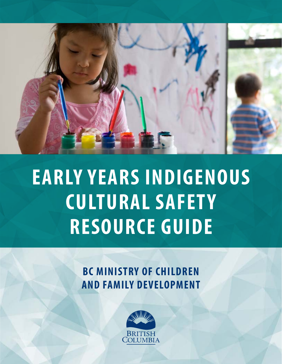

# **EARLY YEARS INDIGENOUS CULTURAL SAFETY RESOURCE GUIDE**

# **BC MINISTRY OF CHILDREN AND FAMILY DEVELOPMENT**

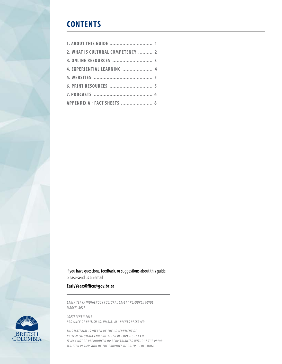### **CONTENTS**

| 2. WHAT IS CULTURAL COMPETENCY  2 |  |
|-----------------------------------|--|
|                                   |  |
| 4. EXPERIENTIAL LEARNING  4       |  |
|                                   |  |
|                                   |  |
|                                   |  |
| APPENDIX A - FACT SHEETS  8       |  |

If you have questions, feedback, or suggestions about this guide, please send us an email

#### **EarlyYearsOffice@gov.bc.ca**

*EARLY YEARS INDIGENOUS CULTURAL SAFETY RESOURCE GUIDE MARCH, 2021*



*COPYRIGHT © 2019 PROVINCE OF BRITISH COLUMBIA. ALL RIGHTS RESERVED.*

THIS MATERIAL IS OWNED BY THE GOVERNMENT OF BRITISH COLUMBIA AND PROTECTED BY COPYRIGHT LAW. *IT MAY NOT BE REPRODUCED OR REDISTRIBUTED WITHOUT THE PRIOR WRITTEN PERMISSION OF THE PROVINCE OF BRITISH COLUMBIA.*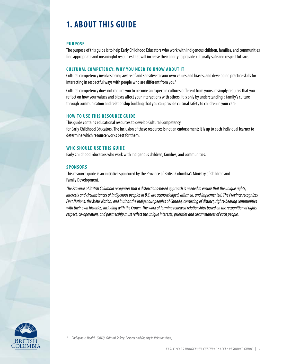# <span id="page-2-0"></span>**1. ABOUT THIS GUIDE**

#### **PURPOSE**

The purpose of this guide is to help Early Childhood Educators who work with Indigenous children, families, and communities find appropriate and meaningful resources that will increase their ability to provide culturally safe and respectful care.

#### **CULTURAL COMPETENCY: WHY YOU NEED TO KNOW ABOUT IT**

Cultural competency involves being aware of and sensitive to your own values and biases, and developing practice skills for interacting in respectful ways with people who are different from you.<sup>1</sup>

Cultural competency does not require you to become an expert in cultures different from yours, it simply requires that you reflect on how your values and biases affect your interactions with others. It is only by understanding a family's culture through communication and relationship building that you can provide cultural safety to children in your care.

#### **HOW TO USE THIS RESOURCE GUIDE**

This guide contains educational resources to develop Cultural Competency for Early Childhood Educators. The inclusion of these resources is not an endorsement; it is up to each individual learner to determine which resource works best for them.

#### **WHO SHOULD USE THIS GUIDE**

Early Childhood Educators who work with Indigenous children, families, and communities.

#### **SPONSORS**

This resource guide is an initiative sponsored by the Province of British Columbia's Ministry of Children and Family Development.

*The Province of British Columbia recognizes that a distinctions-based approach is needed to ensure that the unique rights, interests and circumstances of Indigenous peoples in B.C. are acknowledged, affirmed, and implemented. The Province recognizes First Nations, the Métis Nation, and Inuit as the Indigenous peoples of Canada, consisting of distinct, rights-bearing communities with their own histories, including with the Crown. The work of forming renewed relationships based on the recognition of rights, respect, co-operation, and partnership must reflect the unique interests, priorities and circumstances of each people.*

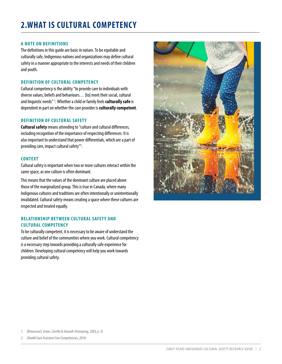#### <span id="page-3-0"></span>**A NOTE ON DEFINITIONS**

The definitions in this guide are basic in nature. To be equitable and culturally safe, Indigenous nations and organizations may define cultural safety in a manner appropriate to the interests and needs of their children and youth.

#### **DEFINITION OF CULTURAL COMPETENCY**

Cultural competency is the ability "to provide care to individuals with diverse values, beliefs and behaviours… [to] meet their social, cultural and linguistic needs"<sup>2</sup>. Whether a child or family feels **culturally safe** is dependent in part on whether the care provider is **culturally competent**.

#### **DEFINITION OF CULTURAL SAFETY**

**Cultural safety** means attending to "culture and cultural differences, including recognition of the importance of respecting differences. It is also important to understand that power differentials, which are a part of providing care, impact cultural safety"3 .

#### **CONTEXT**

Cultural safety is important when two or more cultures interact within the same space, as one culture is often dominant.

This means that the values of the dominant culture are placed above those of the marginalized group. This is true in Canada, where many Indigenous cultures and traditions are often intentionally or unintentionally invalidated. Cultural safety means creating a space where these cultures are respected and treated equally.

#### **RELATIONSHIP BETWEEN CULTURAL SAFETY AND CULTURAL COMPETENCY**

To be culturally competent, it is necessary to be aware of understand the culture and belief of the communities where you work. Cultural competency is a necessary step towards providing a culturally safe experience for children. Developing cultural competency will help you work towards providing cultural safety.



*1. (Betancourt, Green, Carrillo & Ananeh-Firempong, 2003, p. 5)*

*2. (Health Care Assistant Core Competencies, 2014)*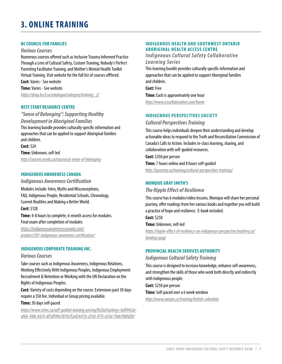# <span id="page-4-0"></span>**3. ONLINE TRAINING**

#### **BC COUNCIL FOR FAMILIES**

#### *Various Courses*

Numerous courses offered such as Inclusive Trauma Informed Practice Through a Lens of Cultural Safety, Custom Training, Nobody's Perfect Parenting Facilitator Training, and Mother's Mental Health Toolkit Virtual Training. Visit website for the full list of courses offfered.

**Cost:** Varies - See website **Time:** Varies - See website *[https://shop.bccf.ca/catalogue/category/training\\_2/](https://shop.bccf.ca/catalogue/category/training_2/)*

#### **BEST START RESOURCE CENTRE**

*"Sense of Belonging": Supporting Healthy Development in Aboriginal Families* This learning bundle provides culturally specific information and approaches that can be applied to support Aboriginal families and children.

**Cost:** \$24 **Time:** Unknown, self-led *http://courses.ecedu.ca/courses/a-sense-of-belonging*

#### **INDIGENOUS AWARENESS CANADA**

*Indigenous Awareness Certification*

Modules include: Intro, Myths and Misconceptions, FAQ, Indigenous People, Residential Schools, Chronology, Current Realities and Making a Better World.

#### **Cost:** \$128

**Time:** 4-8 hours to complete, 6-month access for modules. Final exam after completion of modules

*[https://indigenousawarenesscanada.com/](https://indigenousawarenesscanada.com/product/201-indigenous-awareness-certification/) [product/201-indigenous-awareness-certification/](https://indigenousawarenesscanada.com/product/201-indigenous-awareness-certification/)*

#### **INDIGENOUS CORPORATE TRAINING INC.**

#### *Various Courses*

Take courses such as Indigenous Awareness, Indigenous Relations, Working Effectively With Indigenous Peoples, Indigenous Employment: Recruitment & Retention or Working with the UN Declaration on the Rights of Indigenous Peoples.

**Cost:** Variety of costs depending on the course. Extensions past 30 days require a \$50 fee. Individual or Group pricing available.

#### **Time:** 30 days self-paced

*[https://www.ictinc.ca/self-guided-training-pricing?hsCtaTracking=bd994c2e](https://www.ictinc.ca/self-guided-training-pricing?hsCtaTracking=bd994c2e-af66-498c-b5c9-df5df9f4e78)[af66-498c-b5c9-df5df9f4e781%7Ca454473c-d31d-477c-a53d-7bde706fd2b7](https://www.ictinc.ca/self-guided-training-pricing?hsCtaTracking=bd994c2e-af66-498c-b5c9-df5df9f4e78)*

#### **INDIGENOUS HEALTH AND SOUTHWEST ONTARIO ABORIGINAL HEALTH ACCESS CENTRE**

#### *Indigenous Cultural Safety Collaborative Learning Series*

This learning bundle provides culturally specific information and approaches that can be applied to support Aboriginal families and children.

**Cost:** Free **Time:** Each is approximately one hour

*http://www.icscollaborative.com/home*

#### **INDIGENOUS PERSPECTIVES SOCIETY**

#### *Cultural Perspectives Training*

This course helps individuals deepen their understanding and develop actionable ideas to respond to the Truth and Reconciliation Commission of Canada's Calls to Action. Includes in-class learning, sharing, and collaboration with self-guided resources.

#### **Cost:** \$350 per person

**Time:** 7 hours online and 8 hours self-guided

*http://ipsociety.ca/training/cultural-perspectives-training/*

#### **MONQIUE GRAY SMITH'S**

#### *The Ripple Effect of Resilience*

This course has 6 modules/video lessons, Monique will share her personal journey, offer readings from her various books and together you will build a practice of hope and resilience. E-book included.

**Cost:** \$250

#### **Time:** Unknown, self-led

*[https://ripple-effect-of-resiliency-an-indigenous-perspective.teachery.co/](https://ripple-effect-of-resiliency-an-indigenous-perspective.teachery.co/landing-page) [landing-page](https://ripple-effect-of-resiliency-an-indigenous-perspective.teachery.co/landing-page)*

#### **PROVINCIAL HEALTH SERVICES AUTHORITY**

#### *Indigenous Cultural Safety Training*

This course is designed to increase knowledge, enhance self-awareness, and strengthen the skills of those who work both directly and indirectly with Indigenous people.

**Cost:** \$250 per person

#### **Time:** Self-paced over a 6 week window

*http://www.sanyas.ca/training/british-columbia*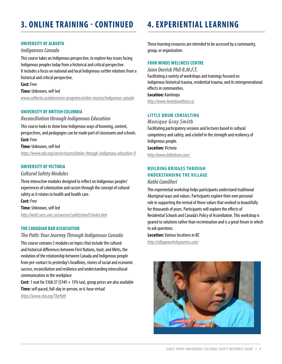# **3. ONLINE TRAINING - CONTINUED**

#### **UNIVERSITY OF ALBERTA**

#### *Indigenous Canada*

This course takes an Indigenous perspective, to explore key issues facing Indigenous peoples today from a historical and critical perspective. It includes a focus on national and local Indigenous-settler relations from a historical and critical perspective.

**Cost:** Free **Time:** Unknown, self-led

*[www.ualberta.ca/admissions-programs/online-courses/indigenous-canada](http://www.ualberta.ca/admissions-programs/online-courses/indigenous-canada)*

#### **UNIVERSITY OF BRITISH COLUMBIA**

*Reconciliation through Indigenous Education*

This course looks to show how Indigenous ways of knowing, content, perspectives, and pedagogies can be made part of classrooms and schools. **Cost:** Free

**Time:** Unknown, self-led

*https://www.edx.org/course/reconciliation-through-indigenous-education-0*

#### **UNIVERSITY OF VICTORIA**

*Cultural Safety Modules*

Three interactive modules designed to reflect on Indigenous peoples' experiences of colonization and racism through the concept of cultural safety as it relates to health and health care.

**Cost:** Free **Time:** Unknown, self-led

*http://web2.uvcs.uvic.ca/courses/csafety/mod1/index.htm*

#### **THE CANADIAN BAR ASSOCIATION**

#### *The Path: Your Journey Through Indigenous Canada*

This course contains 5 modules on topics that include the cultural and historical differences between First Nations, Inuit, and Métis, the evolution of the relationship between Canada and Indigenous people from pre-contact to yesterday's headlines, stories of social and economic success, reconciliation and resilience and understanding intercultural communication in the workplace

**Cost:** 1 seat for \$168.37 (\$149  $+$  13% tax), group prices are also available **Time:** self-paced, full-day in-person, or 6-hour virtual *<https://www.cba.org/ThePath>*

# **4. EXPERIENTIAL LEARNING**

These learning resources are intended to be accessed by a community, group, or organization.

#### **FOUR WINDS WELLNESS CENTRE**

*Jann Derrick PhD R.M.F.T.* Facilitating a variety of workshops and trainings focused on Indigenous historical trauma, residential trauma, and its intergenerational effects in communities. **Location:** Kamloops

*http://www.4windswellness.ca*

#### **LITTLE DRUM CONSULTING**

*Monique Gray Smith*

Facilitating participatory sessions and lectures based in cultural competency and safety, and a belief in the strength and resiliency of Indigenous people.

**Location:** Victoria *http://www.littledrum.com/*

### **BUILDING BRIDGES THROUGH UNDERSTANDING THE VILLAGE**

*Kathi Camilleri*

This experiential workshop helps participants understand traditional Aboriginal ways and values. Participants explore their own personal role in supporting the revival of those values that worked so beautifully for thousands of years. Participants will explore the effects of Residential Schools and Canada's Policy of Assimilation. This workshop is geared to solutions rather than recrimination and is a great forum in which to ask questions.

**Location:** Various locations in BC *http://villageworkshopseries.com/*

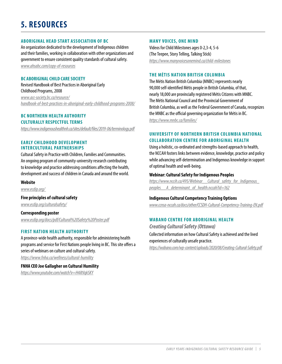# <span id="page-6-0"></span>**5. RESOURCES**

#### **ABORIGINAL HEAD START ASSOCIATION OF BC**

An organization dedicated to the development of Indigenous children and their families, working in collaboration with other organizations and government to ensure consistent quality standards of cultural safety. *www.ahsabc.com/copy-of-resources*

#### **BC ABORIGINAL CHILD CARE SOCIETY**

Revised Handbook of Best Practices in Aboriginal Early Childhood Programs, 2008 *www.acc-society.bc.ca/resource/ handbook-of-best-practices-in-aboriginal-early-childhood-programs-2008/*

#### **BC NORTHERN HEALTH AUTHORITY CULTURALLY RESPECTFUL TERMS**

*https://www.indigenoushealthnh.ca/sites/default/files/2019-06/terminology.pdf*

#### **EARLY CHILDHOOD DEVELOPMENT INTERCULTURAL PARTNERSHIPS**

Cultural Safety in Practice with Children, Families and Communities. An ongoing program of community-university research contributing to knowledge and practice addressing conditions affecting the health, development and success of children in Canada and around the world.

#### **Website**

*www.ecdip.org/*

#### **Five principles of cultural safety**

*www.ecdip.org/culturalsafety/*

#### **Corresponding poster**

*www.ecdip.org/docs/pdf/Cultural%20Safety%20Poster.pdf*

#### **FIRST NATION HEALTH AUTHORITY**

A province-wide health authority, responsible for administering health programs and service for First Nations people living in BC. This site offers a series of webinars on culture and cultural safety. *https://www.fnha.ca/wellness/cultural-humility*

**FNHA CEO Joe Gallagher on Cultural Humility** *<https://www.youtube.com/watch?v=H4iltVqkSKY>*

#### **MANY VOICES, ONE MIND**

Videos for Child Milestones ages 0-2,3-4, 5-6 (The Teepee, Story Telling, Talking Stick) *<https://www.manyvoicesonemind.ca/child-milestones>*

#### **THE MĖTIS NATION BRITISH COLUMBIA**

The Métis Nation British Columbia (MNBC) represents nearly 90,000 self-identified Métis people in British Columbia, of that, nearly 18,000 are provincially registered Métis Citizens with MNBC. The Métis National Council and the Provincial Government of British Columbia, as well as the Federal Government of Canada, recognizes the MNBC as the official governing organization for Métis in BC. *<https://www.mnbc.ca/families/>*

#### **UNIVERSITY OF NORTHERN BRITISH COLUMBIA NATIONAL COLLABORATION CENTRE FOR ABORIGINAL HEALTH**

Using a holistic, co-ordinated and strengths-based approach to health, the NCCAH fosters links between evidence, knowledge, practice and policy while advancing self-determination and Indigenous knowledge in support of optimal health and well-being.

#### **Webinar: Cultural Safety for Indigenous Peoples**

*[https://www.nccih.ca/495/Webinar\\_\\_Cultural\\_safety\\_for\\_Indigenous\\_](https://www.nccih.ca/495/Webinar__Cultural_safety_for_Indigenous_peoples__A_determinant_of_health.nccah?id=162) [peoples\\_\\_A\\_determinant\\_of\\_health.nccah?id=162](https://www.nccih.ca/495/Webinar__Cultural_safety_for_Indigenous_peoples__A_determinant_of_health.nccah?id=162)*

#### **Indigenous Cultural Competency Training Options**

*www.ccnsa-nccah.ca/docs/other/CCSDH-Cultural-Competency-Training-EN.pdf*

#### **WABANO CENTRE FOR ABORIGINAL HEALTH**

*Creating Cultural Safety (Ottawa)* Collected information on how Cultural Safety is achieved and the lived experiences of culturally unsafe practice. *https://wabano.com/wp-content/uploads/2020/08/Creating-Cultural-Safety.pdf*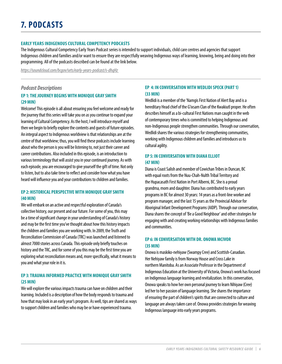#### <span id="page-7-0"></span>**EARLY YEARS INDIGENOUS CULTURAL COMPETENCY PODCASTS**

The Indigenous Cultural Competency Early Years Podcast series is intended to support individuals, child care centres and agencies that support Indigenous children and families and/or want to ensure they are respectfully weaving Indigenous ways of learning, knowing, being and doing into their programming. All of the podcasts described can be found at the link below.

*https://soundcloud.com/bcgov/sets/early-years-podcast/s-dhqHz*

#### *Podcast Descriptions*

#### **[EP 1: THE JOURNEY BEGINS WITH MONIQUE GRAY SMITH](https://soundcloud.com/bcgov/ep-1-early-years-podcast-the/s-fhy9E?in=bcgov/sets/early-years-podcast/s-dhqHz)  [\(29 MIN\)](https://soundcloud.com/bcgov/ep-1-early-years-podcast-the/s-fhy9E?in=bcgov/sets/early-years-podcast/s-dhqHz)**

Welcome! This episode is all about ensuring you feel welcome and ready for the journey that this series will take you on as you continue to expand your learning of Cultural Competency. As the host, I will introduce myself and then we begin to briefly explore the contents and guests of future episodes. An integral aspect to Indigenous worldview is that relationships are at the centre of that worldview; thus, you will find these podcasts include learning about who the person is you will be listening to, not just their career and career contributions. Also included in this episode, is an introduction to various terminology that will assist you in your continued journey. As with each episode, you are encouraged to give yourself the gift of time. Not only to listen, but to also take time to reflect and consider how what you have heard will influence you and your contributions to children and families.

#### **[EP 2: HISTORICAL PERSPECTIVE WITH MONIQUE GRAY SMITH](https://soundcloud.com/bcgov/ep-2-early-years-podcast/s-QmbL6?in=bcgov/sets/early-years-podcast/s-dhqHz)  [\(40 MIN\)](https://soundcloud.com/bcgov/ep-2-early-years-podcast/s-QmbL6?in=bcgov/sets/early-years-podcast/s-dhqHz)**

We will embark on an active and respectful exploration of Canada's collective history, our present and our future. For some of you, this may be a time of significant change in your understanding of Canada's history and may be the first time you've thought about how this history impacts the children and families you are working with. In 2009, the Truth and Reconciliation Commission of Canada (TRC) was launched and listened to almost 7000 stories across Canada. This episode only briefly touches on history and the TRC, and for some of you this may be the first time you are exploring what reconciliation means and, more specifically, what it means to you and what your role in it is.

#### **[EP 3: TRAUMA INFORMED PRACTICE WITH MONIQUE GRAY SMITH](https://soundcloud.com/bcgov/ep-3-early-years-podcast/s-fmwXP?in=bcgov/sets/early-years-podcast/s-dhqHz)  [\(25 MIN\)](https://soundcloud.com/bcgov/ep-3-early-years-podcast/s-fmwXP?in=bcgov/sets/early-years-podcast/s-dhqHz)**

We will explore the various impacts trauma can have on children and their learning. Included is a description of how the body responds to trauma and how that may look in an early year's program. As well, tips are shared as ways to support children and families who may be or have experienced trauma.

#### **[EP 4: IN CONVERSATION WITH WEDLIDI SPECK \(PART 1\)](https://soundcloud.com/bcgov/ep-4-early-years-podcast/s-AwaEK?in=bcgov/sets/early-years-podcast/s-dhqHz)  [\(33 MIN\)](https://soundcloud.com/bcgov/ep-4-early-years-podcast/s-AwaEK?in=bcgov/sets/early-years-podcast/s-dhqHz)**

Wedlidi is a member of the 'Namgis First Nation of Alert Bay and is a hereditary Head chief of the G'ixsam Clan of the Kwakiutl proper. He often describes himself as a bi-cultural First Nations man caught in the web of contemporary times who is committed to helping Indigenous and non-Indigenous people strengthen communities. Through our conversation, Wedlidi shares the various strategies for strengthening communities, working with Indigenous children and families and introduces us to cultural agility.

#### **[EP 5: IN CONVERSATION WITH DIANA ELLIOT](https://soundcloud.com/bcgov/ep-5-early-years-podcast/s-aK5jr?in=bcgov/sets/early-years-podcast/s-dhqHz)  [\(47 MIN\)](https://soundcloud.com/bcgov/ep-5-early-years-podcast/s-aK5jr?in=bcgov/sets/early-years-podcast/s-dhqHz)**

Diana is Coast Salish and member of Cowichan Tribes in Duncan, BC with equal roots from the Nuu-Chah-Nulth Tribal Territory and the Hupacasath First Nation in Port Alberni, BC. She is a proud grandma, mom and daughter. Diana has contributed to early years programs in BC for almost 30 years: 14 years as a front-line worker and program manager, and the last 15 years as the Provincial Advisor for Aboriginal Infant Development Programs (AIDP). Through our conversation, Diana shares the concept of 'Be a Good Neighbour' and other strategies for engaging with and creating working relationships with Indigenous families and communities.

#### **[EP 6: IN CONVERSATION WITH DR. ONOWA MCIVOR](https://soundcloud.com/bcgov/ep-6-early-years-podcast/s-NZ48b?in=bcgov/sets/early-years-podcast/s-dhqHz)  [\(35 MIN\)](https://soundcloud.com/bcgov/ep-6-early-years-podcast/s-NZ48b?in=bcgov/sets/early-years-podcast/s-dhqHz)**

Onowa is maskiko-nehiyaw (Swampy Cree) and Scottish-Canadian. Her Nehiyaw family is from Norway House and Cross Lake in northern Manitoba. As an Associate Professor in the Department of Indigenous Education at the University of Victoria, Onowa's work has focused on Indigenous language learning and revitalization. In this conversation, Onowa speaks to how her own personal journey to learn Nihiyaw (Cree) led her to her passion of language learning. She shares the importance of ensuring the part of children's spirits that are connected to culture and language are always taken care of. Onowa provides strategies for weaving Indigenous language into early years programs.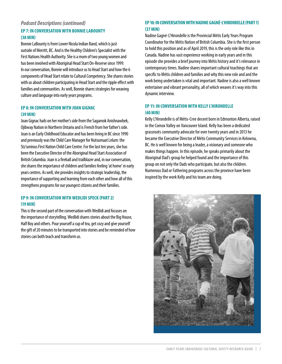#### *Podcast Descriptions (continued)*

#### **[EP 7: IN CONVERSATION WITH BONNIE LABOUNTY](https://soundcloud.com/bcgov/ep-7-early-years-podcast/s-qCkPj?in=bcgov/sets/early-years-podcast/s-dhqHz)  [\(38 MIN\)](https://soundcloud.com/bcgov/ep-7-early-years-podcast/s-qCkPj?in=bcgov/sets/early-years-podcast/s-dhqHz)**

Bonnie LaBounty is from Lower Nicola Indian Band, which is just outside of Merritt, BC. And is the Healthy Children's Specialist with the First Nations Health Authority. She is a mom of two young women and has been involved with Aboriginal Head Start On-Reserve since 1999. In our conversation, Bonnie will introduce us to Head Start and how the 6 components of Head Start relate to Cultural Competency. She shares stories with us about children participating in Head Start and the ripple effect with families and communities. As well, Bonnie shares strategies for weaving culture and language into early years programs.

#### **[EP 8: IN CONVERSATION WITH JOAN GIGNAC](https://soundcloud.com/bcgov/ep-8-early-years-podcast/s-gm7de?in=bcgov/sets/early-years-podcast/s-dhqHz)  [\(39 MIN\)](https://soundcloud.com/bcgov/ep-8-early-years-podcast/s-gm7de?in=bcgov/sets/early-years-podcast/s-dhqHz)**

Joan Gignac hails on her mother's side from the Sagamok Anishnawbek, Ojibway Nation in Northern Ontario and is French from her father's side. Joan is an Early Childhood Educator and has been living in BC since 1990 and previously was the Child Care Manager for Nutsumaat Lelum: the Stz'uminus First Nation Child Care Centre. For the last ten years, she has been the Executive Director of the Aboriginal Head Start Association of British Columbia. Joan is a fireball and trailblazer and, in our conversation, she shares the importance of children and families feeling 'at home' in early years centres. As well, she provides insights to strategic leadership, the importance of supporting and learning from each other and how all of this strengthens programs for our youngest citizens and their families.

#### **[EP 9: IN CONVERSATION WITH WEDLIDI SPECK \(PART 2\)](https://soundcloud.com/bcgov/ep-9-early-years-podcast/s-6QXt0?in=bcgov/sets/early-years-podcast/s-dhqHz)  [\(19 MIN\)](https://soundcloud.com/bcgov/ep-9-early-years-podcast/s-6QXt0?in=bcgov/sets/early-years-podcast/s-dhqHz)**

This is the second part of the conversation with Wedlidi and focuses on the importance of storytelling. Wedlidi shares stories about the Big House, Half Boy and others. Pour yourself a cup of tea, get cozy and give yourself the gift of 20 minutes to be transported into stories and be reminded of how stories can both teach and transform us.

#### **EP 10: IN CONVERSATION WITH NADINE GAGNÉ-L'HIRONDELLE (PART 1) (37 MIN)**

Nadine Gagné-L'Hirondelle is the Provincial Métis Early Years Program Coordinator for the Métis Nation of British Columbia. She is the first person to hold this position and as of April 2019, this is the only role like this in Canada. Nadine has vast experience working in early years and in this episode she provides a brief journey into Métis history and it's relevance in contemporary times. Nadine shares important cultural teachings that are specific to Métis children and families and why this new role and and the work being undertaken is vital and important. Nadine is also a well known entertainer and vibrant personality, all of which weaves it's way into this dynamic interview.

#### **EP 11: IN CONVERSATION WITH KELLY L'HIRONDELLE (40 MIN)**

Kelly L'Hirondelle is of Métis-Cree decent born in Edmonton Alberta, raised in the Comox Valley on Vancouver Island. Kelly has been a dedicated grassroots community advocate for over twenty years and in 2013 he became the Executive Director of Métis Community Services in Kelowna, BC. He is well known for being a leader, a visionary and someone who makes things happen. In this episode, he speaks primarily about the Aboriginal Dad's group he helped found and the importance of this group on not only the Dads who participate, but also the children. Numerous Dad or Fathering programs across the province have been inspired by the work Kelly and his team are doing.

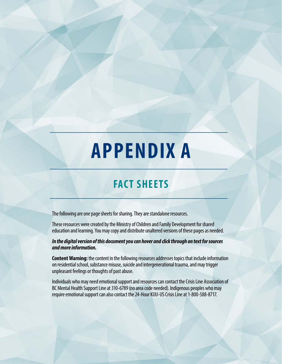# <span id="page-9-0"></span>**APPENDIX A**

# **FACT SHEETS**

The following are one page sheets for sharing. They are standalone resources.

These resources were created by the Ministry of Children and Family Development for shared education and learning. You may copy and distribute unaltered versions of these pages as needed.

*In the digital version of this document you can hover and click through on text for sources and more information.*

**Content Warning:** the content in the following resources addresses topics that include information on residential school, substance misuse, suicide and intergenerational trauma, and may trigger unpleasant feelings or thoughts of past abuse.

Individuals who may need emotional support and resources can contact the Crisis Line Association of BC Mental Health Support Line at 310-6789 (no area code needed). Indigenous peoples who may require emotional support can also contact the 24-Hour KUU-US Crisis Line at 1-800-588-8717.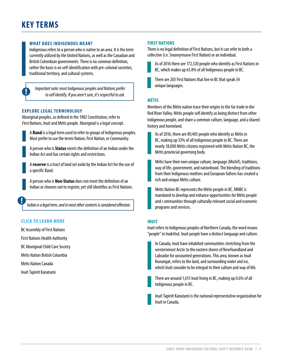# **KEY TERMS**

#### **[WHAT DOES INDIGENOUS MEAN?](https://www.ictinc.ca/blog/indigenous-or-aboriginal-which-is-correct)**

Indigenous refers to a person who is native to an area. It is the term currently utilized by the United Nations, as well as the Canadian and British Colombian governments. There is no common definition, rather the basis is on self-identification with pre-colonial societies, traditional territory, and cultural systems.

*Important note: most Indigenous peoples and Nations prefer to self identify. If you aren't sure, it's respectful to ask.*

#### **EXPLORE LEGAL TERMINOLOGY**

Aboriginal peoples, as defined in the 1982 Constitution, refer to First Nations, Inuit and Métis people. Aboriginal is a legal concept.



A **[Band](https://www.thecanadianencyclopedia.ca/en/article/band)** is a legal term used to refer to groups of Indigenous peoples. Most prefer to use the terms Nation, First Nation, or Community.

A person who is **[Status](https://indigenousfoundations.arts.ubc.ca/indian_status/)** meets the definition of an Indian under the Indian Act and has certain rights and restrictions.

A **[reserve](https://indigenousfoundations.arts.ubc.ca/reserves/)** is a tract of land set aside by the Indian Act for the use of a specific Band.

A person who is **Non-Status** does not meet the definition of an Indian or chooses not to register, yet still identifies as First Nations.

*Indian is a legal term, and in most other contexts is considered offensive.*

#### **CLICK TO LEARN MORE**

[BC Assembly of First Nations](http://bcafn.ca/) [First Nations Health Authority](http://www.fnha.ca/) [BC Aboriginal Child Care Society](https://www.acc-society.bc.ca/) [Métis Nation British Columbia](http://www.mnbc.ca/ )

[Métis Nation Canada](http://www.metisnation.ca)

[Inuit Tapiriit Kanatami](https://www.itk.ca/)

#### **[FIRST NATIONS](https://bcafn.ca)**

There is no legal definition of First Nations, but it can refer to both a collective (i.e. Snuneymuxw First Nation) or an individual.



[As of 2016 there are 172,520 people who identify as First Nations in](https://www150.statcan.gc.ca/n1/daily-quotidien/171025/dq171025a-eng.htm)  [BC, which makes up 63.8% of all Indigenous people in BC.](https://www150.statcan.gc.ca/n1/daily-quotidien/171025/dq171025a-eng.htm)



[There are 203 First Nations that live in BC that speak 34](https://www150.statcan.gc.ca/n1/daily-quotidien/171025/dq171025a-eng.htm)  [unique languages.](https://www150.statcan.gc.ca/n1/daily-quotidien/171025/dq171025a-eng.htm)

#### **[MÉTIS](http://www.metisnation.ca/index.php/who-are-the-metis/citizenship)**

Members of the Métis nation trace their origins to the fur trade in the Red River Valley. Métis people self identify as being distinct from other Indigenous people, and share a common culture, language, and a shared history and homeland.

As of 2016, there are 89,405 people who identify as Métis in BC, making up 33% of all Indigenous people in BC. There are nearly 18,000 Métis citizens registered with Métis Nation BC, the Métis provincial governing body.

Métis have their own unique culture, language (Michif), traditions, way of life, government, and nationhood. The blending of traditions from their Indigenous mothers and European fathers has created a rich and unique Métis culture.

[Métis Nation BC represents the Métis people in BC. MNBC is](https://www.mnbc.ca)  [mandated to develop and enhance opportunities for Métis people](https://www.mnbc.ca)  [and c ommunities through culturally relevant social and economic](https://www.mnbc.ca)  [programs and services.](https://www.mnbc.ca)

#### **[INUIT](https://www.itk.ca)**

Inuit refers to Indigenous peoples of Northern Canada, the word means "people" in Inuktitut. Inuit people have a distinct language and culture.



[There are around 1,615 Inuit living in BC, making up 0.6% of all](https://www2.gov.bc.ca/gov/content/data/statistics/infoline/infoline-2017/17-138-2016-census-indigenous-people-canada)  [Indigenous people in BC.](https://www2.gov.bc.ca/gov/content/data/statistics/infoline/infoline-2017/17-138-2016-census-indigenous-people-canada)

[Inuit Tapiriit Kanatami is the national representative organization for](https://www.itk.ca)  [Inuit in Canada.](https://www.itk.ca)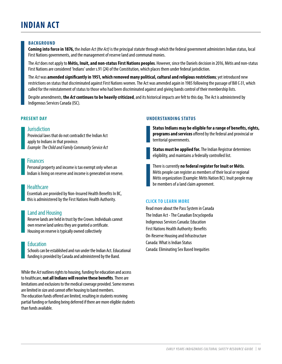# **INDIAN ACT**

#### **BACKGROUND**

**Coming into force in 1876,** the *Indian Act (the Act)* is the principal statute through which the federal government administers Indian status, local First Nations governments, and the management of reserve land and communal monies.

The *Act* does not apply to **Métis, Inuit, and non-status First Nations peoples**. However, since the Daniels decision in 2016, Métis and non-status First Nations are considered 'Indians' under s.91 (24) of the Constitution, which places them under federal jurisdiction.

The *Act* was **amended significantly in 1951, which removed many political, cultural and religious restrictions**; yet introduced new restrictions on status that discriminated against First Nations women. The Act was amended again in 1985 following the passage of Bill C-31, which called for the reinstatement of status to those who had been discriminated against and giving bands control of their membership lists.

Despite amendments, **the** *Act* **continues to be heavily criticized**, and its historical impacts are felt to this day. The Act is administered by Indigenous Services Canada (ISC).

#### **PRESENT DAY**

#### **Jurisdiction**

Provincial laws that do not contradict the Indian Act apply to Indians in that province. *Example: The Child and Family Community Service Act*

#### **Finances**

Personal property and income is tax exempt only when an Indian is living on reserve and income is generated on reserve.

#### **Healthcare**

Essentials are provided by Non-Insured Health Benefits In BC, this is administered by the First Nations Health Authority.

#### Land and Housing

Reserve lands are held in trust by the Crown. Individuals cannot own reserve land unless they are granted a certificate. Housing on reserve is typically owned collectively

#### **Education**

Schools can be established and run under the Indian Act. Educational funding is provided by Canada and administered by the Band.

While the *Act* outlines rights to housing, funding for education and access to healthcare, **not all Indians will receive these benefits**. There are limitations and exclusions to the medical coverage provided. Some reserves are limited in size and cannot offer housing to band members. The education funds offered are limited, resulting in students receiving partial funding or funding being deferred if there are more eligible students than funds available.

#### **UNDERSTANDING STATUS**

**Status Indians may be eligible for a range of benefits, rights, programs and services** offered by the federal and provincial or territorial governments.

**Status must be applied for.** The Indian Registrar determines eligibility, and maintains a federally controlled list.

There is currently **no federal register for Inuit or Métis**. Métis people can register as members of their local or regional Métis organization (Example: Métis Nation BC). Inuit people may be members of a land claim agreement.

#### **CLICK TO LEARN MORE**

[Read more about the Pass System in Canada](https://www.thecanadianencyclopedia.ca/en/article/pass-system-in-canada) [The Indian Act - The Canadian Encyclopedia](https://www.thecanadianencyclopedia.ca/en/article/indian-act/)  [Indigenous Services Canada: Education](https://www.sac-isc.gc.ca/eng/1100100033601/1521124611239) [First Nations Health Authority: Benefits](http://www.fnha.ca/benefits) [On-Reserve Housing and Infrastructure](http://www.parl.gc.ca/Content/SEN/Committee/412/appa/rep/rep12jun15-e.pdf) [Canada: What is Indian Status](http://www.aadnc-aandc.gc.ca/eng/1100100032463/1100100032464) [Canada: Eliminating Sex Based Inequities](http://www.aadnc-aandc.gc.ca/eng/1467214955663/1467214979755)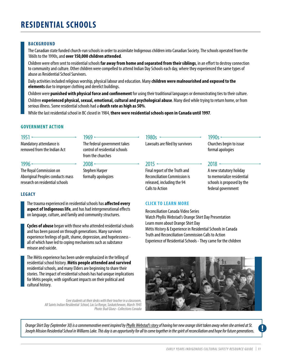# **RESIDENTIAL SCHOOLS**

#### **BACKGROUND**

The Canadian state funded church-run schools in order to assimilate Indigenous children into Canadian Society. The schools operated from the 1860s to the 1990s, and **over 150,000 children attended**.

Children were often sent to residential schools **far away from home and separated from their siblings**, in an effort to destroy connection to community and culture. Other children were compelled to attend Indian Day Schools each day, where they experienced the same types of abuse as Residential School Survivors.

Daily activities included religious worship, physical labour and education. Many **children were malnourished and exposed to the elements** due to improper clothing and derelict buildings.

Children were **punished with physical force and confinement** for using their traditional languages or demonstrating ties to their culture. Children **experienced physical, sexual, emotional, cultural and psychological abuse**. Many died while trying to return home, or from serious illness. Some residential schools had a **death rate as high as 50%**.

While the last residential school in BC closed in 1984, **there were residential schools open in Canada until 1997**.

#### **GOVERNMENT ACTION**

#### $1951 -$

Mandatory attendance is removed from the Indian Act

#### $1996$   $\longleftarrow$

The Royal Commission on Aboriginal Peoples conducts mass research on residential schools

#### **LEGACY**

The trauma experienced in residential schools has **affected every aspect of Indigenous life**, and has had intergenerational effects on language, culture, and family and community structures.

 $1969 -$ 

 $2008 -$ Stephen Harper formally apologizes

from the churches

The federal government takes control of residential schools

**Cycles of abuse** began with those who attended residential schools and has been passed on through generations. Many survivors experience feelings of guilt, shame, depression, and hopelessness all of which have led to coping mechanisms such as substance misuse and suicide.

The Métis experience has been under emphasized in the telling of residential school history. **Métis people attended and survived**  residential schools, and many Elders are beginning to share their stories. The impact of residential schools has had unique implications for Métis people, with significant impacts on their political and cultural history.

> *Cree students at their desks with their teacher in a classroom, All Saints Indian Residential School, Lac La Ronge, Saskatchewan, March 1945 Photo: Bud Glunz - Collections Canada*

#### 1980s —

Lawsuits are filed by survivors

#### $2015$   $-$

Final report of the Truth and Reconciliation Commission is released, including the 94 Calls to Action

#### **CLICK TO LEARN MORE**

[Reconciliation Canada Video Series](https://reconciliationcanada.ca/category/video/) [Watch Phyllis Webstad's Orange Shirt Day Presentation](https://www.youtube.com/watch?v=E3vUqr01kAk&feature=youtu.be) [Learn more about Orange Shirt Day](http://www.orangeshirtday.org/) [Métis History & Experience in Residential Schools in Canada](http://www.ahf.ca/downloads/metiseweb.pdf) [Truth and Reconciliation Commission Calls to Action](http://nctr.ca/assets/reports/Calls_to_Action_English2.pdf) [Experience of Residential Schools - They came for the children](http://projectofheart.ca//wp-content/uploads/2012/08/They-Came-for-the-Children.pdf)



*Orange Shirt Day (September 30) is a commemorative event inspired by[Phyllis Webstad's story](http://www.youtube.com/watch?v=E3vUqr01kAk&feature=youtu.be)of having her new orange shirt taken away when she arrived at St. Joseph Mission Residential School in Williams Lake. This day is an opportunity for all to come together in the spirit of reconciliation and hope for future generations.*

#### *EARLY YEARS INDIGENOUS CULTURAL SAFETY RESOURCE GUIDE | 11*

Churches begin to issue formal apologies

1990s $-$ 

- 2018
- A new statutory holiday to memorialize residential schools is proposed by the federal government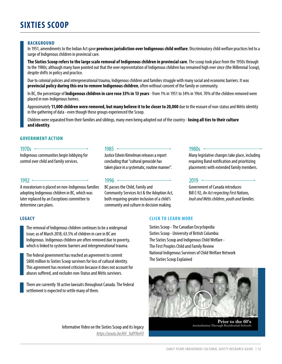# **SIXTIES SCOOP**

#### **BACKGROUND**

In 1951, amendments to the Indian Act gave **provinces jurisdiction over Indigenous child welfare**. Discriminatory child welfare practices led to a surge of Indigenous children in provincial care.

**The Sixties Scoop refers to the large scale removal of Indigenous children in provincial care**. The scoop took place from the 1950s through to the 1980s; although many have pointed out that the over representation of Indigenous children has remained high ever since (the Millennial Scoop), despite shifts in policy and practice.

Due to colonial policies and intergenerational trauma, Indigenous children and families struggle with many social and economic barriers. It was **provincial policy during this era to remove Indigenous children**, often without consent of the family or community.

In BC, the percentage of **Indigenous children in care rose 33% in 13 years** - from 1% in 1951 to 34% in 1964. 70% of the children removed were placed in non-Indigenous homes.

Approximately **11,000 children were removed, but many believe it to be closer to 20,000** due to the erasure of non-status and Métis identity in the gathering of data - even though these groups experienced the Scoop.

Children were separated from their families and siblings, many even being adopted out of the country - **losing all ties to their culture and identity**.

#### **GOVERNMENT ACTION**

#### 1970s  $\sim$

Indigenous communities begin lobbying for control over child and family services.

#### $1992 -$

A moratorium is placed on non-Indigenous families adopting Indigenous children in BC, which was later replaced by an Exceptions committee to determine care plans.

#### 1985 •

Justice Edwin Kimelman releases a report concluding that "cultural genocide has taken place in a systematic, routine manner".

#### 1996 —

BC passes the Child, Family and Community Services Act & the Adoption Act, both requiring greater inclusion of a child's community and culture in decision making.

#### 1980s $-$

Many legislative changes take place, including requiring Band notification and prioritizing placements with extended family members.

#### $2019$   $-$

Government of Canada introduces Bill C-92, *An Act respecting First Nations, Inuit and Métis children, youth and families.*

#### **LEGACY**

The removal of Indigenous children continues to be a widespread issue; as of March 2018, 63.5% of children in care in BC are Indigenous. Indigenous children are often removed due to poverty, which is linked to systemic barriers and intergenerational trauma.

The federal government has reached an agreement to commit \$800 million to Sixties Scoop survivors for loss of cultural identity. This agreement has received criticism because it does not account for abuses suffered, and excludes non-Status and Métis survivors.

There are currently 18 active lawsuits throughout Canada. The federal settlement is expected to settle many of them.

#### Informative Video on the Sixties Scoop and its legacy *https://youtu.be/kH\_bdlYNnFU*

#### **CLICK TO LEARN MORE**

[Sixties Scoop - The Canadian Encyclopedia](https://www.thecanadianencyclopedia.ca/en/article/sixties-scoop/) [Sixties Scoop - University of British Columbia](http://indigenousfoundations.arts.ubc.ca/sixties_scoop/) [The Sixties Scoop and Indigenous Child Welfare -](http://journals.sfu.ca/fpcfr/index.php/FPCFR/issue/view/25) [The First Peoples Child and Family Review](http://journals.sfu.ca/fpcfr/index.php/FPCFR/issue/view/25) [National Indigenous Survivors of Child Welfare Network](https://sixtiesscoopnetwork.org/) [The Sixties Scoop Explained](https://www.cbc.ca/cbcdocspov/features/the-sixties-scoop-explained)



Prior to the 60's **Assimilation Through Residential Schools**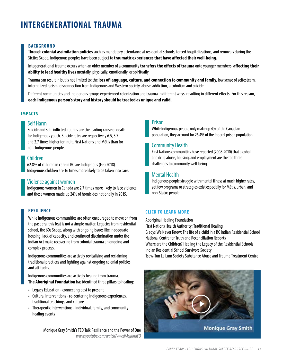#### **BACKGROUND**

Through **colonial assimilation policies** such as mandatory attendance at residential schools, forced hospitalizations, and removals during the Sixties Scoop, Indigenous peoples have been subject to **traumatic experiences that have affected their well-being.**

Integenerational trauma occurs when an older member of a community **transfers the effects of trauma** onto younger members, **affecting their ability to lead healthy lives** mentally, physically, emotionally, or spiritually.

Trauma can result in but is not limited to: the **loss of language, culture, and connection to community and family**, low sense of selfesteem, internalized racism, disconnection from Indigenous and Western society, abuse, addiction, alcoholism and suicide.

Different communities and Indigenous groups experienced colonization and trauma in different ways, resulting in different effects. For this reason, **each Indigenous person's story and history should be treated as unique and valid.**

#### **IMPACTS**

#### Self Harm

Suicide and self-inflicted injuries are the leading cause of death for Indigenous youth. Suicide rates are respectively 6.5, 3.7 and 2.7 times higher for Inuit, First Nations and Métis than for non-Indigenous people.

#### Children

62.8% of children in care in BC are Indigenous (Feb 2018). Indigenous children are 16 times more likely to be taken into care.

#### Violence against women

Indigenous women in Canada are 2.7 times more likely to face violence, and these women made up 24% of homicides nationally in 2015.

#### **RESILIENCE**

While Indigenous communities are often encouraged to move on from the past era, this feat is not a simple matter. Legacies from residential school, the 60s Scoop, along with ongoing issues like inadequate housing, lack of capacity, and continued discrimination under the Indian Act make recovering from colonial trauma an ongoing and complex process.

Indigenous communities are actively revitalizing and reclaiming traditional practices and fighting against ongoing colonial policies and attitudes.

Indigenous communities are actively healing from trauma. **[The Aboriginal Foundation](http://www.ahf.ca/downloads/final-report-vol-3.pdf)** has identified three pillars to healing:

- Legacy Education connecting past to present
- Cultural Interventions re-centering Indigenous experiences, traditional teachings, and culture
- Therapeutic Interventions individual, family, and community healing events

Monique Gray Smith's TED Talk Resilience and the Power of One *www.youtube.com/watch?v=edMcljKndEQ*

#### Prison

While Indigenous people only make up 4% of the Canadian population, they account for 26.4% of the federal prison population.

#### Community Health

First Nations communities have reported (2008-2010) that alcohol and drug abuse, housing, and employment are the top three challenges to community well-being.

#### Mental Health

Indigenous people struggle with mental illness at much higher rates, yet few programs or strategies exist especially for Métis, urban, and non-Status people.

#### **CLICK TO LEARN MORE**

[Aboriginal Healing Foundation](http://www.ahf.ca/downloads/final-report-vol-3.pdf) [First Nations Health Authority: Traditional Healing](http://www.fnha.ca/what-we-do/traditional-healing) [Gladys We Never Knew: The life of a child in a BC Indian Residential School](https://bctf.ca/uploadedFiles/Public/AboriginalEd/GladysResource/eBook.pdf) [National Centre for Truth and Reconciliation Reports](http://nctr.ca/reports2.php) [Where are the Children? Healing the Legacy of the Residential Schools](http://wherearethechildren.ca/en/) [Indian Residential School Survivors Society](http://irsss.ca/) [Tsow-Tun Le Lum Society Substance Abuse and Trauma Treatment Centre](http://www.tsowtunlelum.org/programs/kwnatsustul/)

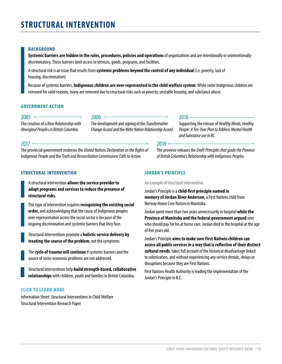#### **BACKGROUND**

**Systemic barriers are hidden in the rules, procedures, policies and operations** of organizations and are intentionally or unintentionally discriminatory. These barriers limit access to services, goods, programs, and facilities.

A structural risk is an issue that results from **systemic problems beyond the control of any individual** (i.e. poverty, lack of housing, discrimination)

Because of systemic barriers, **Indigenous children are over-represented in the child welfare system**. While some Indigenous children are removed for valid reasons, many are removed due to structural risks such as poverty, unstable housing, and substance abuse.

#### **GOVERNMENT ACTION**

#### $2005 -$

The creation of a *New Relationship with Aboriginal People*s *in British Columbia.*

#### $2006$   $\sim$

The development and signing of the *Transformative Change Accord* and the *Métis Nation Relationship Accord.*

#### $2017 -$

The provincial government endorses the *United Nations Declaration on the Rights of Indigenous People* and the *Truth and Reconciliation Commissions' Calls to Action.*

#### **STRUCTURAL INTERVENTION**

A structural intervention **allows the service provider to adapt programs and services to reduce the presence of structural risks.**

This type of intervention requires **recognizing the existing social order,** and acknowledging that the cause of Indigenous peoples over-representation across the social sector is because of the ongoing discrimination and systemic barriers that they face.

Structural interventions promote a **holistic service delivery by treating the source of the problem**, not the symptoms.

The **cycle of trauma will continue** if systemic barriers and the source of socio-economic problems are not addressed.

Structural interventions help **build strength-based, collaborative relationships** with children, youth and families in British Columbia.

#### **CLICK TO LEARN MORE**

[Information Sheet: Structural Interventions in Child Welfare](https://fncaringsociety.com/sites/default/files/Information%20Sheet%20_%20Structural%20Interventions%20in%20Child%20Welfare.pdf) [Structural Intervention Research Paper](http://www.ncbi.nlm.nih.gov/pubmed/16736355)

#### $2010 -$

Supporting the release of *Healthy Minds, Healthy People: A Ten-Year Plan to Address Mental Health and Substance use in BC.*

#### $2018 -$

The province releases the *Draft Principles that guide the Province of British Columbia's Relationship with Indigenous Peoples.*

#### **JORDAN'S PRINCIPLE**

An example of structural intervention.

Jordan's Principle is a **child-first principle named in memory of Jordan River Anderson**, a First Nations child from Norway House Cree Nation in Manitoba.

Jordan spent more than two years unnecessarily in hospital **while the Province of Manitoba and the federal government argued** over who should pay for his at home care. Jordan died in the hospital at the age of five years old.

Jordan's Principle **aims to make sure First Nations children can access all public services in a way that is reflective of their distinct cultural needs**, takes full account of the historical disadvantage linked to colonization, and without experiencing any service denials, delays or disruptions because they are First Nations.

[First Nations Health Authority is leading the implementation of the](http://www.fnha.ca/what-we-do/maternal-child-and-family-health/jordans-principle)  [Jordan's Principle in B.C.](http://www.fnha.ca/what-we-do/maternal-child-and-family-health/jordans-principle)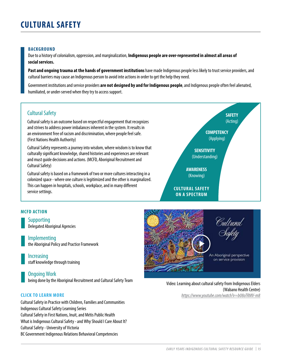#### **BACKGROUND**

Due to a history of colonialism, oppression, and marginalization, **Indigenous people are over-represented in almost all areas of social services.**

**Past and ongoing trauma at the hands of government institutions** have made Indigenous people less likely to trust service providers, and cultural barriers may cause an Indigenous person to avoid inte actions in order to get the help they need.

Government institutions and service providers **are not designed by and for Indigenous people**, and Indigenous people often feel alienated, humiliated, or under-served when they try to access support.

#### Cultural Safety

Cultural safety is an outcome based on respectful engagement that recognizes and strives to address power imbalances inherent in the system. It results in an environment free of racism and discrimination, where people feel safe. (First Nations Health Authority)

Cultural Safety represents a journey into wisdom, where wisdom is to know that culturally significant knowledge, shared histories and experiences are relevant and must guide decisions and actions. (MCFD, Aboriginal Recruitment and Cultural Safety)

Cultural safety is based on a framework of two or more cultures interacting in a colonized space - where one culture is legitimized and the other is marginalized. This can happen in hospitals, schools, workplace, and in many different service settings.



#### **MCFD ACTION**

Supporting Delegated Aboriginal Agencies

Implementing the [Aboriginal Policy and Practice Framework](https://www2.gov.bc.ca/assets/gov/family-and-social-supports/child-care/aboriginal/abframework.pdf)

Increasing staff knowledge through training

Ongoing Work

being done by the Aboriginal Recruitment and Cultural Safety Team Video: Learning about cultural safety from Indigenous Elders

[Cultural Safety in Practice with Children, Families and Communities](http://www.ecdip.org/culturalsafety/) [Indigenous Cultural Safety Learning Series](http://www.icscollaborative.com/webinars) [Cultural Safety in First Nations, Inuit, and Métis Public Health](http://www.nccah-ccnsa.ca/en/publications.aspx?sortcode=2.8.10&publication=88) [What is Indigenous Cultural Safety - and Why Should I Care About It?](http://www.heretohelp.bc.ca/visions/indigenous-people-vol11/what-is-indigenous-cultural-safety-and-why-should-i-care-about-it) [Cultural Safety - University of Victoria](http://web2.uvcs.uvic.ca/courses/csafety/mod1/index.htm) [BC Government Indigenous Relations Behavioral Competencies](http://www2.gov.bc.ca/gov/content/careers-myhr/job-seekers/about-competencies/indigenous-relations)



(Wabano Health Centre) **CLICK TO LEARN MORE** *<https://www.youtube.com/watch?v=b08oTRMV-m8>*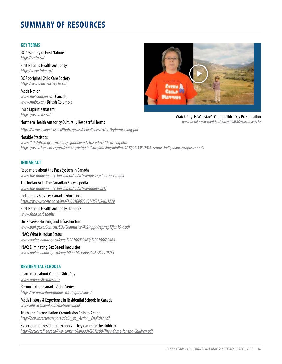## **SUMMARY OF RESOURCES**

#### **KEY TERMS**

BC Assembly of First Nations *<http://bcafn.ca/>*

First Nations Health Authority *<http://www.fnha.ca/>*

BC Aboriginal Child Care Society *<https://www.acc-society.bc.ca/>*

Métis Nation *[www.metisnation.ca](http://www.metisnation.ca)* - Canada *[www.mnbc.ca/](http://www.mnbc.ca/ )* - British Columbia

Inuit Tapiriit Kanatami *https://www.itk.ca/*

#### Northern Health Authority Culturally Respectful Terms

*<https://www.indigenoushealthnh.ca/sites/default/files/2019-06/terminology.pdf>*

#### Notable Statistics

*[www150.statcan.gc.ca/n1/daily-quotidien/171025/dq171025a-eng.htm](https://www150.statcan.gc.ca/n1/daily-quotidien/171025/dq171025a-eng.htm) https:/[/www2.gov.bc.ca/gov/content/data/statistics/infoline/infoline-2017/17-138-2016-census-indigenous-people-canada](https://www2.gov.bc.ca/gov/content/data/statistics/infoline/infoline-2017/17-138-2016-census-indigenous-people-canada)*

#### **INDIAN ACT**

Read more about the Pass System in Canada *www.thecanadianencyclopedia.ca/en/article/pass-system-in-canada*

The Indian Act - The Canadian Encyclopedia *www.thecanadianencyclopedia.ca/en/article/indian-act/*

#### Indigenous Services Canada: Education

*https://www.sac-isc.gc.ca/eng/1100100033601/1521124611239*

First Nations Health Authority: Benefits *www.fnha.ca/benefits*

On-Reserve Housing and Infrastructure *www.parl.gc.ca/Content/SEN/Committee/412/appa/rep/rep12jun15-e.pdf*

#### INAC: What is Indian Status

*www.aadnc-aandc.gc.ca/eng/1100100032463/1100100032464*

#### INAC: Eliminating Sex Based Inequities

*www.aadnc-aandc.gc.ca/eng/1467214955663/1467214979755*

#### **RESIDENTIAL SCHOOLS**

Learn more about Orange Shirt Day *www.orangeshirtday.org/*

Reconciliation Canada Video Series *<https://reconciliationcanada.ca/category/video/>*

Métis History & Experience in Residential Schools in Canada *www.ahf.ca/downloads/metiseweb.pdf*

Truth and Reconciliation Commission Calls to Action *http://nctr.ca/assets/reports/Calls\_to\_Action\_English2.pdf*

Experience of Residential Schools - They came for the children *http://projectofheart.ca//wp-content/uploads/2012/08/They-Came-for-the-Children.pdf*



Watch Phyllis Webstad's Orange Shirt Day Presentation *www.youtube.com/watch?v=E3vUqr01kAk&feature=youtu.be*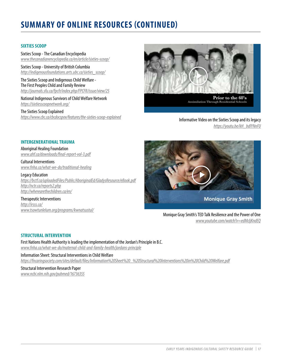# **SUMMARY OF ONLINE RESOURCES (CONTINUED)**

#### **SIXTIES SCOOP**

Sixties Scoop - The Canadian Encyclopedia *www.thecanadianencyclopedia.ca/en/article/sixties-scoop/*

Sixties Scoop - University of British Columbia *http://indigenousfoundations.arts.ubc.ca/sixties\_scoop/*

The Sixties Scoop and Indigenous Child Welfare - The First Peoples Child and Family Review *http://journals.sfu.ca/fpcfr/index.php/FPCFR/issue/view/25*

National Indigenous Survivors of Child Welfare Network *https://sixtiesscoopnetwork.org/*

The Sixties Scoop Explained *[https://www.cbc.ca/cbcdocspov/features/the-sixties-scoop-explained](https://www.cbc.ca/cbcdocspov/features/the-sixties-scoop-explained
)* Informative Video on the Sixties Scoop and its legacy



*https://youtu.be/kH\_bdlYNnFU*

#### **INTERGENERATIONAL TRAUMA**

Aboriginal Healing Foundation *www.ahf.ca/downloads/final-report-vol-3.pdf*

Cultural Interventions *www.fnha.ca/what-we-do/traditional-healing*

Legacy Education *https://bctf.ca/uploadedFiles/Public/AboriginalEd/GladysResource/eBook.pdf http://nctr.ca/reports2.php http://wherearethechildren.ca/en/*

Therapeutic Interventions *http://irsss.ca/ www.tsowtunlelum.org/programs/kwnatsustul/*



Monique Gray Smith's TED Talk Resilience and the Power of One *www.youtube.com/watch?v=edMcljKndEQ*

#### **STRUCTURAL INTERVENTION**

First Nations Health Authority is leading the implementation of the Jordan's Principle in B.C. *www.fnha.ca/what-we-do/maternal-child-and-family-health/jordans-principle*

Information Sheet: Structural Interventions in Child Welfare *https://fncaringsociety.com/sites/default/files/Information%20Sheet%20\_%20Structural%20Interventions%20in%20Child%20Welfare.pdf*

Structural Intervention Research Paper *www.ncbi.nlm.nih.gov/pubmed/16736355*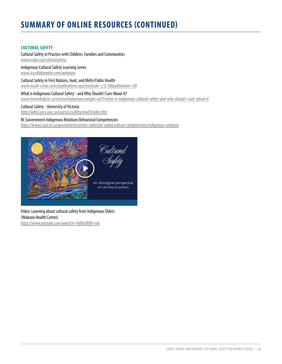# **SUMMARY OF ONLINE RESOURCES (CONTINUED)**

#### **CULTURAL SAFETY**

Cultural Safety in Practice with Children, Families and Communities *www.ecdip.org/culturalsafety/*

Indigenous Cultural Safety Learning Series *www.icscollaborative.com/webinars*

Cultural Safety in First Nations, Inuit, and Métis Public Health *www.nccah-ccnsa.ca/en/publications.aspx?sortcode=2.8.10&publication=88*

What is Indigenous Cultural Safety - and Why Should I Care About It? *www.heretohelp.bc.ca/visions/indigenous-people-vol11/what-is-indigenous-cultural-safety-and-why-should-i-care-about-it*

#### Cultural Safety - University of Victoria

*http://web2.uvcs.uvic.ca/courses/csafety/mod1/index.htm*

#### BC Government Indigenous Relations Behavioral Competencies

*<https://www2.gov.bc.ca/gov/content/careers-myhr/job-seekers/about-competencies/indigenous-relations>*



Video: Learning about cultural safety from Indigenous Elders (Wabano Health Centre) *https://www.youtube.com/watch?v=b08oTRMV-m8*